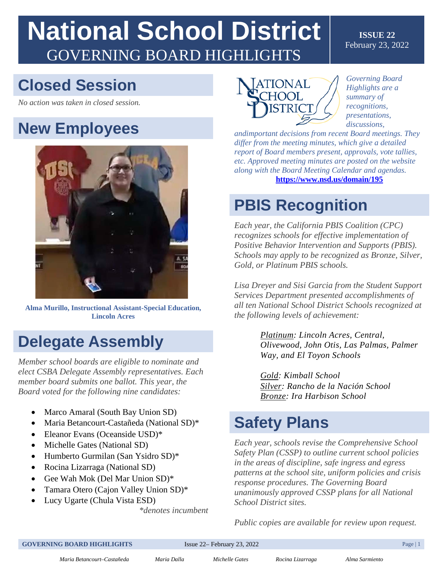# **National School District**  GOVERNING BOARD HIGHLIGHTS

#### **ISSUE 22**  February 23, 2022

## **Closed Session**

*No action was taken in closed session.* 

## **New Employees**



**Alma Murillo, Instructional Assistant-Special Education, Lincoln Acres**

## **Delegate Assembly**

*Member school boards are eligible to nominate and elect CSBA Delegate Assembly representatives. Each member board submits one ballot. This year, the Board voted for the following nine candidates:* 

- Marco Amaral (South Bay Union SD)
- Maria Betancourt-Castañeda (National SD)\*
- Eleanor Evans (Oceanside USD)\*
- Michelle Gates (National SD)
- Humberto Gurmilan (San Ysidro SD)\*
- Rocina Lizarraga (National SD)
- Gee Wah Mok (Del Mar Union SD)\*
- Tamara Otero (Cajon Valley Union SD)\*
- Lucy Ugarte (Chula Vista ESD)

*\*denotes incumbent* 



*Governing Board Highlights are a summary of recognitions, presentations, discussions,* 

*andimportant decisions from recent Board meetings. They differ from the meeting minutes, which give a detailed report of Board members present, approvals, vote tallies, etc. Approved meeting minutes are posted on the website along with the Board Meeting Calendar and agendas.*  **<https://www.nsd.us/domain/195>**

## **PBIS Recognition**

*Each year, the California PBIS Coalition (CPC) recognizes schools for effective implementation of Positive Behavior Intervention and Supports (PBIS). Schools may apply to be recognized as Bronze, Silver, Gold, or Platinum PBIS schools.* 

*Lisa Dreyer and Sisi Garcia from the Student Support Services Department presented accomplishments of all ten National School District Schools recognized at the following levels of achievement:*

> *Platinum: Lincoln Acres, Central, Olivewood, John Otis, Las Palmas, Palmer Way, and El Toyon Schools*

*Gold: Kimball School Silver: Rancho de la Nación School Bronze: Ira Harbison School* 

## **Safety Plans**

*Each year, schools revise the Comprehensive School Safety Plan (CSSP) to outline current school policies in the areas of discipline, safe ingress and egress patterns at the school site, uniform policies and crisis response procedures. The Governing Board unanimously approved CSSP plans for all National School District sites.*

*Public copies are available for review upon request.* 

*Maria Betancourt–Castañeda Maria Dalla Michelle Gates Rocina Lizarraga Alma Sarmiento*